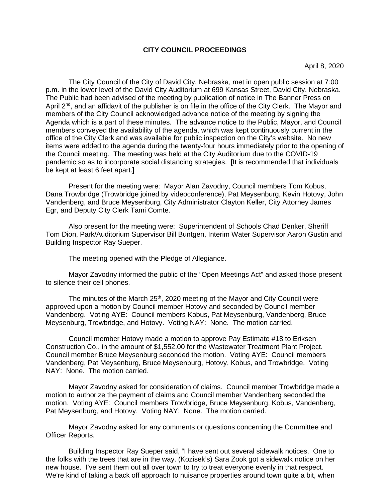### **CITY COUNCIL PROCEEDINGS**

The City Council of the City of David City, Nebraska, met in open public session at 7:00 p.m. in the lower level of the David City Auditorium at 699 Kansas Street, David City, Nebraska. The Public had been advised of the meeting by publication of notice in The Banner Press on April 2<sup>nd</sup>, and an affidavit of the publisher is on file in the office of the City Clerk. The Mayor and members of the City Council acknowledged advance notice of the meeting by signing the Agenda which is a part of these minutes. The advance notice to the Public, Mayor, and Council members conveyed the availability of the agenda, which was kept continuously current in the office of the City Clerk and was available for public inspection on the City's website. No new items were added to the agenda during the twenty-four hours immediately prior to the opening of the Council meeting. The meeting was held at the City Auditorium due to the COVID-19 pandemic so as to incorporate social distancing strategies. [It is recommended that individuals be kept at least 6 feet apart.]

Present for the meeting were: Mayor Alan Zavodny, Council members Tom Kobus, Dana Trowbridge (Trowbridge joined by videoconference), Pat Meysenburg, Kevin Hotovy, John Vandenberg, and Bruce Meysenburg, City Administrator Clayton Keller, City Attorney James Egr, and Deputy City Clerk Tami Comte.

Also present for the meeting were: Superintendent of Schools Chad Denker, Sheriff Tom Dion, Park/Auditorium Supervisor Bill Buntgen, Interim Water Supervisor Aaron Gustin and Building Inspector Ray Sueper.

The meeting opened with the Pledge of Allegiance.

Mayor Zavodny informed the public of the "Open Meetings Act" and asked those present to silence their cell phones.

The minutes of the March  $25<sup>th</sup>$ , 2020 meeting of the Mayor and City Council were approved upon a motion by Council member Hotovy and seconded by Council member Vandenberg. Voting AYE: Council members Kobus, Pat Meysenburg, Vandenberg, Bruce Meysenburg, Trowbridge, and Hotovy. Voting NAY: None. The motion carried.

Council member Hotovy made a motion to approve Pay Estimate #18 to Eriksen Construction Co., in the amount of \$1,552.00 for the Wastewater Treatment Plant Project. Council member Bruce Meysenburg seconded the motion. Voting AYE: Council members Vandenberg, Pat Meysenburg, Bruce Meysenburg, Hotovy, Kobus, and Trowbridge. Voting NAY: None. The motion carried.

Mayor Zavodny asked for consideration of claims. Council member Trowbridge made a motion to authorize the payment of claims and Council member Vandenberg seconded the motion. Voting AYE: Council members Trowbridge, Bruce Meysenburg, Kobus, Vandenberg, Pat Meysenburg, and Hotovy. Voting NAY: None. The motion carried.

Mayor Zavodny asked for any comments or questions concerning the Committee and Officer Reports.

Building Inspector Ray Sueper said, "I have sent out several sidewalk notices. One to the folks with the trees that are in the way. (Kozisek's) Sara Zook got a sidewalk notice on her new house. I've sent them out all over town to try to treat everyone evenly in that respect. We're kind of taking a back off approach to nuisance properties around town quite a bit, when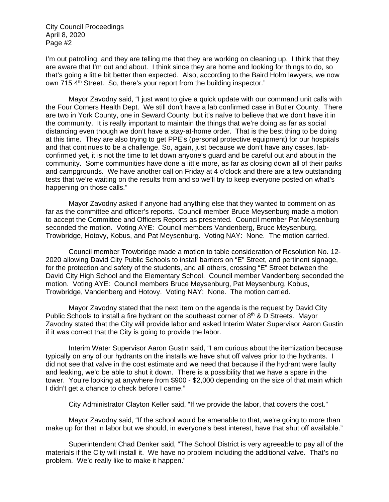I'm out patrolling, and they are telling me that they are working on cleaning up. I think that they are aware that I'm out and about. I think since they are home and looking for things to do, so that's going a little bit better than expected. Also, according to the Baird Holm lawyers, we now own 715 4<sup>th</sup> Street. So, there's your report from the building inspector."

Mayor Zavodny said, "I just want to give a quick update with our command unit calls with the Four Corners Health Dept. We still don't have a lab confirmed case in Butler County. There are two in York County, one in Seward County, but it's naïve to believe that we don't have it in the community. It is really important to maintain the things that we're doing as far as social distancing even though we don't have a stay-at-home order. That is the best thing to be doing at this time. They are also trying to get PPE's (personal protective equipment) for our hospitals and that continues to be a challenge. So, again, just because we don't have any cases, labconfirmed yet, it is not the time to let down anyone's guard and be careful out and about in the community. Some communities have done a little more, as far as closing down all of their parks and campgrounds. We have another call on Friday at 4 o'clock and there are a few outstanding tests that we're waiting on the results from and so we'll try to keep everyone posted on what's happening on those calls."

Mayor Zavodny asked if anyone had anything else that they wanted to comment on as far as the committee and officer's reports. Council member Bruce Meysenburg made a motion to accept the Committee and Officers Reports as presented. Council member Pat Meysenburg seconded the motion. Voting AYE: Council members Vandenberg, Bruce Meysenburg, Trowbridge, Hotovy, Kobus, and Pat Meysenburg. Voting NAY: None. The motion carried.

Council member Trowbridge made a motion to table consideration of Resolution No. 12- 2020 allowing David City Public Schools to install barriers on "E" Street, and pertinent signage, for the protection and safety of the students, and all others, crossing "E" Street between the David City High School and the Elementary School. Council member Vandenberg seconded the motion. Voting AYE: Council members Bruce Meysenburg, Pat Meysenburg, Kobus, Trowbridge, Vandenberg and Hotovy. Voting NAY: None. The motion carried.

Mayor Zavodny stated that the next item on the agenda is the request by David City Public Schools to install a fire hydrant on the southeast corner of  $8<sup>th</sup>$  & D Streets. Mayor Zavodny stated that the City will provide labor and asked Interim Water Supervisor Aaron Gustin if it was correct that the City is going to provide the labor.

Interim Water Supervisor Aaron Gustin said, "I am curious about the itemization because typically on any of our hydrants on the installs we have shut off valves prior to the hydrants. I did not see that valve in the cost estimate and we need that because if the hydrant were faulty and leaking, we'd be able to shut it down. There is a possibility that we have a spare in the tower. You're looking at anywhere from \$900 - \$2,000 depending on the size of that main which I didn't get a chance to check before I came."

City Administrator Clayton Keller said, "If we provide the labor, that covers the cost."

Mayor Zavodny said, "If the school would be amenable to that, we're going to more than make up for that in labor but we should, in everyone's best interest, have that shut off available."

Superintendent Chad Denker said, "The School District is very agreeable to pay all of the materials if the City will install it. We have no problem including the additional valve. That's no problem. We'd really like to make it happen."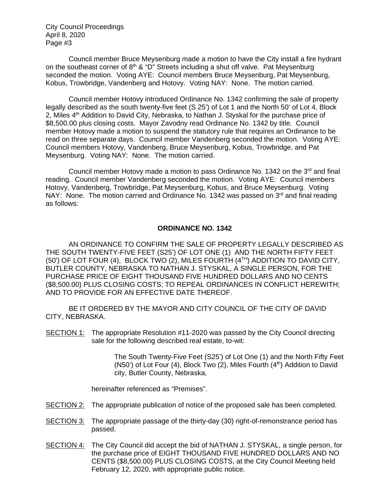Council member Bruce Meysenburg made a motion to have the City install a fire hydrant on the southeast corner of  $8<sup>th</sup> 8$  "D" Streets including a shut off valve. Pat Meysenburg seconded the motion. Voting AYE: Council members Bruce Meysenburg, Pat Meysenburg, Kobus, Trowbridge, Vandenberg and Hotovy. Voting NAY: None. The motion carried.

Council member Hotovy introduced Ordinance No. 1342 confirming the sale of property legally described as the south twenty-five feet (S 25') of Lot 1 and the North 50' of Lot 4, Block 2, Miles  $4<sup>th</sup>$  Addition to David City, Nebraska, to Nathan J. Styskal for the purchase price of \$8,500.00 plus closing costs. Mayor Zavodny read Ordinance No. 1342 by title. Council member Hotovy made a motion to suspend the statutory rule that requires an Ordinance to be read on three separate days. Council member Vandenberg seconded the motion. Voting AYE: Council members Hotovy, Vandenberg, Bruce Meysenburg, Kobus, Trowbridge, and Pat Meysenburg. Voting NAY: None. The motion carried.

Council member Hotovy made a motion to pass Ordinance No. 1342 on the  $3<sup>rd</sup>$  and final reading. Council member Vandenberg seconded the motion. Voting AYE: Council members Hotovy, Vandenberg, Trowbridge, Pat Meysenburg, Kobus, and Bruce Meysenburg. Voting NAY: None. The motion carried and Ordinance No. 1342 was passed on 3<sup>rd</sup> and final reading as follows:

#### **ORDINANCE NO. 1342**

AN ORDINANCE TO CONFIRM THE SALE OF PROPERTY LEGALLY DESCRIBED AS THE SOUTH TWENTY-FIVE FEET (S25') OF LOT ONE (1) AND THE NORTH FIFTY FEET (50') OF LOT FOUR (4), BLOCK TWO (2), MILES FOURTH (4TH) ADDITION TO DAVID CITY, BUTLER COUNTY, NEBRASKA TO NATHAN J. STYSKAL, A SINGLE PERSON, FOR THE PURCHASE PRICE OF EIGHT THOUSAND FIVE HUNDRED DOLLARS AND NO CENTS (\$8,500.00) PLUS CLOSING COSTS; TO REPEAL ORDINANCES IN CONFLICT HEREWITH; AND TO PROVIDE FOR AN EFFECTIVE DATE THEREOF.

BE IT ORDERED BY THE MAYOR AND CITY COUNCIL OF THE CITY OF DAVID CITY, NEBRASKA.

SECTION 1: The appropriate Resolution #11-2020 was passed by the City Council directing sale for the following described real estate, to-wit:

> The South Twenty-Five Feet (S25') of Lot One (1) and the North Fifty Feet (N50') of Lot Four (4), Block Two (2), Miles Fourth  $(4<sup>th</sup>)$  Addition to David city, Butler County, Nebraska,

hereinafter referenced as "Premises".

- SECTION 2: The appropriate publication of notice of the proposed sale has been completed.
- SECTION 3: The appropriate passage of the thirty-day (30) right-of-remonstrance period has passed.
- SECTION 4: The City Council did accept the bid of NATHAN J. STYSKAL, a single person, for the purchase price of EIGHT THOUSAND FIVE HUNDRED DOLLARS AND NO CENTS (\$8,500.00) PLUS CLOSING COSTS, at the City Council Meeting held February 12, 2020, with appropriate public notice.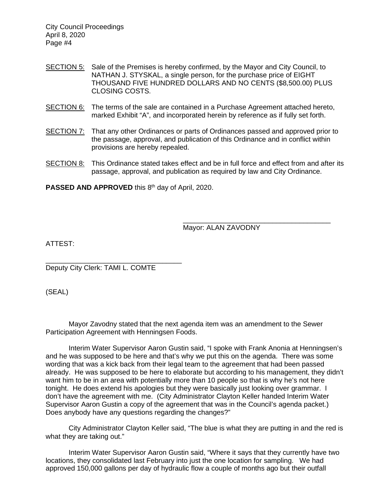- SECTION 5: Sale of the Premises is hereby confirmed, by the Mayor and City Council, to NATHAN J. STYSKAL, a single person, for the purchase price of EIGHT THOUSAND FIVE HUNDRED DOLLARS AND NO CENTS (\$8,500.00) PLUS CLOSING COSTS.
- SECTION 6: The terms of the sale are contained in a Purchase Agreement attached hereto, marked Exhibit "A", and incorporated herein by reference as if fully set forth.
- SECTION 7: That any other Ordinances or parts of Ordinances passed and approved prior to the passage, approval, and publication of this Ordinance and in conflict within provisions are hereby repealed.
- SECTION 8: This Ordinance stated takes effect and be in full force and effect from and after its passage, approval, and publication as required by law and City Ordinance.

**PASSED AND APPROVED** this 8<sup>th</sup> day of April, 2020.

Mayor: ALAN ZAVODNY

\_\_\_\_\_\_\_\_\_\_\_\_\_\_\_\_\_\_\_\_\_\_\_\_\_\_\_\_\_\_\_\_\_\_\_\_\_\_

ATTEST:

\_\_\_\_\_\_\_\_\_\_\_\_\_\_\_\_\_\_\_\_\_\_\_\_\_\_\_\_\_\_\_\_\_\_\_ Deputy City Clerk: TAMI L. COMTE

(SEAL)

Mayor Zavodny stated that the next agenda item was an amendment to the Sewer Participation Agreement with Henningsen Foods.

Interim Water Supervisor Aaron Gustin said, "I spoke with Frank Anonia at Henningsen's and he was supposed to be here and that's why we put this on the agenda. There was some wording that was a kick back from their legal team to the agreement that had been passed already. He was supposed to be here to elaborate but according to his management, they didn't want him to be in an area with potentially more than 10 people so that is why he's not here tonight. He does extend his apologies but they were basically just looking over grammar. I don't have the agreement with me. (City Administrator Clayton Keller handed Interim Water Supervisor Aaron Gustin a copy of the agreement that was in the Council's agenda packet.) Does anybody have any questions regarding the changes?"

City Administrator Clayton Keller said, "The blue is what they are putting in and the red is what they are taking out."

Interim Water Supervisor Aaron Gustin said, "Where it says that they currently have two locations, they consolidated last February into just the one location for sampling. We had approved 150,000 gallons per day of hydraulic flow a couple of months ago but their outfall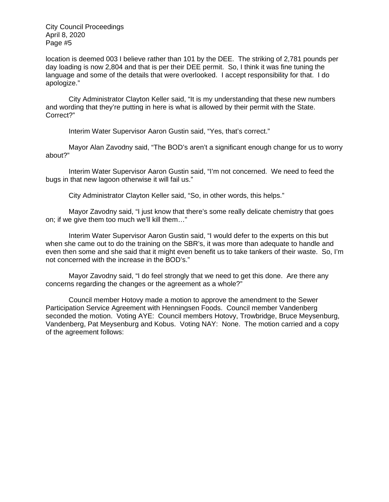location is deemed 003 I believe rather than 101 by the DEE. The striking of 2,781 pounds per day loading is now 2,804 and that is per their DEE permit. So, I think it was fine tuning the language and some of the details that were overlooked. I accept responsibility for that. I do apologize."

City Administrator Clayton Keller said, "It is my understanding that these new numbers and wording that they're putting in here is what is allowed by their permit with the State. Correct?"

Interim Water Supervisor Aaron Gustin said, "Yes, that's correct."

Mayor Alan Zavodny said, "The BOD's aren't a significant enough change for us to worry about?"

Interim Water Supervisor Aaron Gustin said, "I'm not concerned. We need to feed the bugs in that new lagoon otherwise it will fail us."

City Administrator Clayton Keller said, "So, in other words, this helps."

Mayor Zavodny said, "I just know that there's some really delicate chemistry that goes on; if we give them too much we'll kill them…"

Interim Water Supervisor Aaron Gustin said, "I would defer to the experts on this but when she came out to do the training on the SBR's, it was more than adequate to handle and even then some and she said that it might even benefit us to take tankers of their waste. So, I'm not concerned with the increase in the BOD's."

Mayor Zavodny said, "I do feel strongly that we need to get this done. Are there any concerns regarding the changes or the agreement as a whole?"

Council member Hotovy made a motion to approve the amendment to the Sewer Participation Service Agreement with Henningsen Foods. Council member Vandenberg seconded the motion. Voting AYE: Council members Hotovy, Trowbridge, Bruce Meysenburg, Vandenberg, Pat Meysenburg and Kobus. Voting NAY: None. The motion carried and a copy of the agreement follows: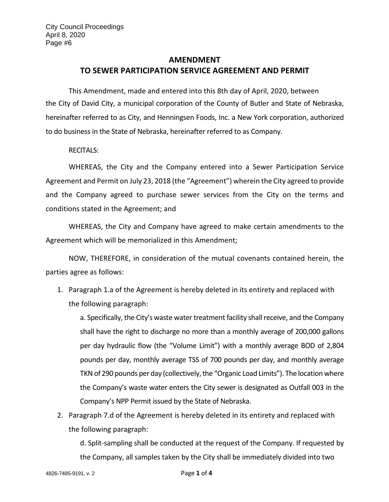# **AMENDMENT TO SEWER PARTICIPATION SERVICE AGREEMENT AND PERMIT**

This Amendment, made and entered into this 8th day of April, 2020, between the City of David City, a municipal corporation of the County of Butler and State of Nebraska, hereinafter referred to as City, and Henningsen Foods, Inc. a New York corporation, authorized to do business in the State of Nebraska, hereinafter referred to as Company.

RECITALS:

WHEREAS, the City and the Company entered into a Sewer Participation Service Agreement and Permit on July 23, 2018 (the "Agreement") wherein the City agreed to provide and the Company agreed to purchase sewer services from the City on the terms and conditions stated in the Agreement; and

WHEREAS, the City and Company have agreed to make certain amendments to the Agreement which will be memorialized in this Amendment;

NOW, THEREFORE, in consideration of the mutual covenants contained herein, the parties agree as follows:

1. Paragraph 1.a of the Agreement is hereby deleted in its entirety and replaced with the following paragraph:

a. Specifically, the City's waste water treatment facility shall receive, and the Company shall have the right to discharge no more than a monthly average of 200,000 gallons per day hydraulic flow (the "Volume Limit") with a monthly average BOD of 2,804 pounds per day, monthly average TSS of 700 pounds per day, and monthly average TKN of 290 pounds per day (collectively, the "Organic Load Limits"). The location where the Company's waste water enters the City sewer is designated as Outfall 003 in the Company's NPP Permit issued by the State of Nebraska.

2. Paragraph 7.d of the Agreement is hereby deleted in its entirety and replaced with the following paragraph:

d. Split-sampling shall be conducted at the request of the Company. If requested by the Company, all samples taken by the City shall be immediately divided into two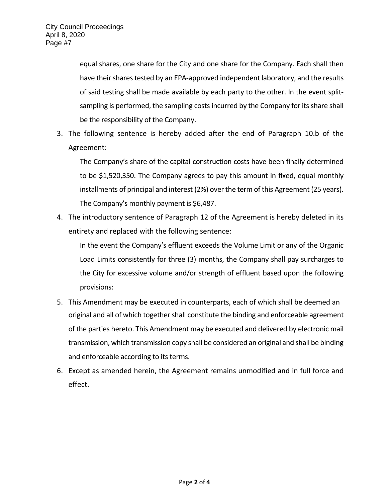equal shares, one share for the City and one share for the Company. Each shall then have their shares tested by an EPA-approved independent laboratory, and the results of said testing shall be made available by each party to the other. In the event splitsampling is performed, the sampling costs incurred by the Company for its share shall be the responsibility of the Company.

3. The following sentence is hereby added after the end of Paragraph 10.b of the Agreement:

The Company's share of the capital construction costs have been finally determined to be \$1,520,350. The Company agrees to pay this amount in fixed, equal monthly installments of principal and interest (2%) over the term of this Agreement (25 years). The Company's monthly payment is \$6,487.

4. The introductory sentence of Paragraph 12 of the Agreement is hereby deleted in its entirety and replaced with the following sentence:

In the event the Company's effluent exceeds the Volume Limit or any of the Organic Load Limits consistently for three (3) months, the Company shall pay surcharges to the City for excessive volume and/or strength of effluent based upon the following provisions:

- 5. This Amendment may be executed in counterparts, each of which shall be deemed an original and all of which together shall constitute the binding and enforceable agreement of the parties hereto. This Amendment may be executed and delivered by electronic mail transmission, which transmission copy shall be considered an original and shall be binding and enforceable according to its terms.
- 6. Except as amended herein, the Agreement remains unmodified and in full force and effect.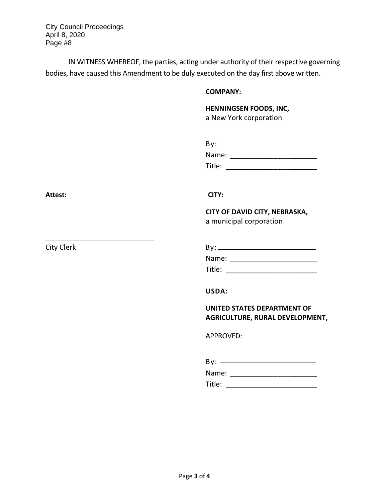IN WITNESS WHEREOF, the parties, acting under authority of their respective governing bodies, have caused this Amendment to be duly executed on the day first above written.

### **COMPANY:**

**HENNINGSEN FOODS, INC,**  a New York corporation

| By:    |  |
|--------|--|
| Name:  |  |
| Title: |  |

Attest: CITY:

**CITY OF DAVID CITY, NEBRASKA,**  a municipal corporation

City Clerk By: By: Name: \_\_\_\_\_\_\_\_\_\_\_\_\_\_\_\_\_\_\_\_\_\_ Title: \_\_\_\_\_\_\_\_\_\_\_\_\_\_\_\_\_\_\_\_\_\_\_

**USDA:** 

**UNITED STATES DEPARTMENT OF AGRICULTURE, RURAL DEVELOPMENT,** 

APPROVED:

| By:    |  |
|--------|--|
| Name:  |  |
| Title: |  |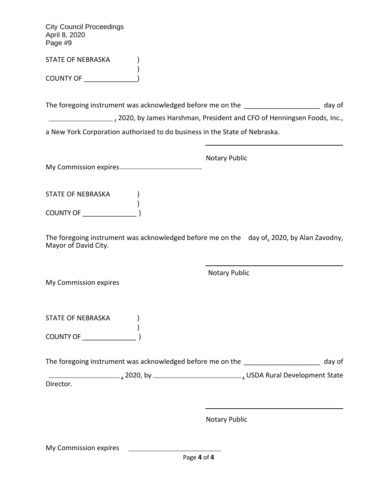STATE OF NEBRASKA
<sup>1</sup>

COUNTY OF \_\_\_\_\_\_\_\_\_\_\_\_\_\_)

The foregoing instrument was acknowledged before me on the \_\_\_\_\_\_\_\_\_\_\_\_\_\_\_\_\_\_\_\_\_ day of

 $\frac{1}{2}$ , 2020, by James Harshman, President and CFO of Henningsen Foods, Inc.,

a New York Corporation authorized to do business in the State of Nebraska.

Notary Public My Commission expires

)

STATE OF NEBRASKA (C) ) COUNTY OF \_\_\_\_\_\_\_\_\_\_\_\_\_\_\_ )

The foregoing instrument was acknowledged before me on the day of, 2020, by Alan Zavodny, Mayor of David City.

My Commission expires

STATE OF NEBRASKA (C) ) COUNTY OF \_\_\_\_\_\_\_\_\_\_\_\_\_\_\_ )

The foregoing instrument was acknowledged before me on the day of

 $\frac{1}{2}$ , 2020, by  $\frac{1}{2}$  2020, by  $\frac{1}{2}$  express to  $\frac{1}{2}$  USDA Rural Development State Director.

Notary Public

Notary Public

My Commission expires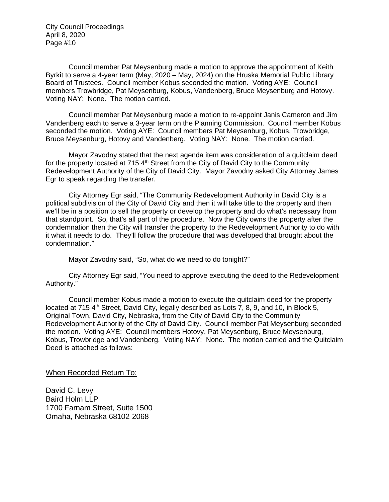Council member Pat Meysenburg made a motion to approve the appointment of Keith Byrkit to serve a 4-year term (May, 2020 – May, 2024) on the Hruska Memorial Public Library Board of Trustees. Council member Kobus seconded the motion. Voting AYE: Council members Trowbridge, Pat Meysenburg, Kobus, Vandenberg, Bruce Meysenburg and Hotovy. Voting NAY: None. The motion carried.

Council member Pat Meysenburg made a motion to re-appoint Janis Cameron and Jim Vandenberg each to serve a 3-year term on the Planning Commission. Council member Kobus seconded the motion. Voting AYE: Council members Pat Meysenburg, Kobus, Trowbridge, Bruce Meysenburg, Hotovy and Vandenberg. Voting NAY: None. The motion carried.

Mayor Zavodny stated that the next agenda item was consideration of a quitclaim deed for the property located at 715  $4<sup>th</sup>$  Street from the City of David City to the Community Redevelopment Authority of the City of David City. Mayor Zavodny asked City Attorney James Egr to speak regarding the transfer.

City Attorney Egr said, "The Community Redevelopment Authority in David City is a political subdivision of the City of David City and then it will take title to the property and then we'll be in a position to sell the property or develop the property and do what's necessary from that standpoint. So, that's all part of the procedure. Now the City owns the property after the condemnation then the City will transfer the property to the Redevelopment Authority to do with it what it needs to do. They'll follow the procedure that was developed that brought about the condemnation."

Mayor Zavodny said, "So, what do we need to do tonight?"

City Attorney Egr said, "You need to approve executing the deed to the Redevelopment Authority."

Council member Kobus made a motion to execute the quitclaim deed for the property located at 715  $4<sup>th</sup>$  Street, David City, legally described as Lots 7, 8, 9, and 10, in Block 5, Original Town, David City, Nebraska, from the City of David City to the Community Redevelopment Authority of the City of David City. Council member Pat Meysenburg seconded the motion. Voting AYE: Council members Hotovy, Pat Meysenburg, Bruce Meysenburg, Kobus, Trowbridge and Vandenberg. Voting NAY: None. The motion carried and the Quitclaim Deed is attached as follows:

When Recorded Return To:

David C. Levy Baird Holm LLP 1700 Farnam Street, Suite 1500 Omaha, Nebraska 68102-2068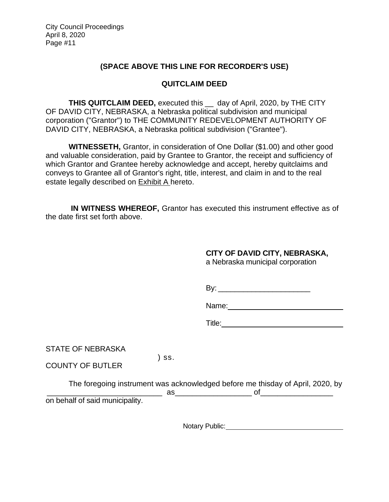## **(SPACE ABOVE THIS LINE FOR RECORDER'S USE)**

## **QUITCLAIM DEED**

**THIS QUITCLAIM DEED,** executed this \_\_ day of April, 2020, by THE CITY OF DAVID CITY, NEBRASKA, a Nebraska political subdivision and municipal corporation ("Grantor") to THE COMMUNITY REDEVELOPMENT AUTHORITY OF DAVID CITY, NEBRASKA, a Nebraska political subdivision ("Grantee").

**WITNESSETH,** Grantor, in consideration of One Dollar (\$1.00) and other good and valuable consideration, paid by Grantee to Grantor, the receipt and sufficiency of which Grantor and Grantee hereby acknowledge and accept, hereby quitclaims and conveys to Grantee all of Grantor's right, title, interest, and claim in and to the real estate legally described on Exhibit A hereto.

**IN WITNESS WHEREOF,** Grantor has executed this instrument effective as of the date first set forth above.

**CITY OF DAVID CITY, NEBRASKA,** 

a Nebraska municipal corporation

Name: **Name:**  $\frac{1}{2}$  and  $\frac{1}{2}$  and  $\frac{1}{2}$  and  $\frac{1}{2}$  and  $\frac{1}{2}$  and  $\frac{1}{2}$  and  $\frac{1}{2}$  and  $\frac{1}{2}$  and  $\frac{1}{2}$  and  $\frac{1}{2}$  and  $\frac{1}{2}$  and  $\frac{1}{2}$  and  $\frac{1}{2}$  and  $\frac{1}{2}$  and  $\frac{1}{2}$  an

Title: **The Community of the Community of the Community of the Community of the Community of the Community of the Community of the Community of the Community of the Community of the Community of the Community of the Commun** 

STATE OF NEBRASKA

COUNTY OF BUTLER

) ss.

The foregoing instrument was acknowledged before me thisday of April, 2020, by  $\overline{a}$  as  $\overline{a}$ on behalf of said municipality.

Notary Public: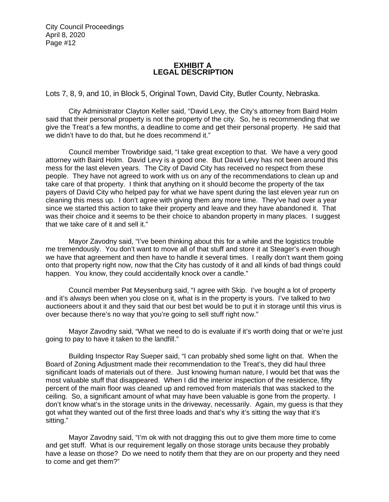### **EXHIBIT A LEGAL DESCRIPTION**

Lots 7, 8, 9, and 10, in Block 5, Original Town, David City, Butler County, Nebraska.

City Administrator Clayton Keller said, "David Levy, the City's attorney from Baird Holm said that their personal property is not the property of the city. So, he is recommending that we give the Treat's a few months, a deadline to come and get their personal property. He said that we didn't have to do that, but he does recommend it."

Council member Trowbridge said, "I take great exception to that. We have a very good attorney with Baird Holm. David Levy is a good one. But David Levy has not been around this mess for the last eleven years. The City of David City has received no respect from these people. They have not agreed to work with us on any of the recommendations to clean up and take care of that property. I think that anything on it should become the property of the tax payers of David City who helped pay for what we have spent during the last eleven year run on cleaning this mess up. I don't agree with giving them any more time. They've had over a year since we started this action to take their property and leave and they have abandoned it. That was their choice and it seems to be their choice to abandon property in many places. I suggest that we take care of it and sell it."

Mayor Zavodny said, "I've been thinking about this for a while and the logistics trouble me tremendously. You don't want to move all of that stuff and store it at Steager's even though we have that agreement and then have to handle it several times. I really don't want them going onto that property right now, now that the City has custody of it and all kinds of bad things could happen. You know, they could accidentally knock over a candle."

Council member Pat Meysenburg said, "I agree with Skip. I've bought a lot of property and it's always been when you close on it, what is in the property is yours. I've talked to two auctioneers about it and they said that our best bet would be to put it in storage until this virus is over because there's no way that you're going to sell stuff right now."

Mayor Zavodny said, "What we need to do is evaluate if it's worth doing that or we're just going to pay to have it taken to the landfill."

Building Inspector Ray Sueper said, "I can probably shed some light on that. When the Board of Zoning Adjustment made their recommendation to the Treat's, they did haul three significant loads of materials out of there. Just knowing human nature, I would bet that was the most valuable stuff that disappeared. When I did the interior inspection of the residence, fifty percent of the main floor was cleaned up and removed from materials that was stacked to the ceiling. So, a significant amount of what may have been valuable is gone from the property. I don't know what's in the storage units in the driveway, necessarily. Again, my guess is that they got what they wanted out of the first three loads and that's why it's sitting the way that it's sitting."

Mayor Zavodny said, "I'm ok with not dragging this out to give them more time to come and get stuff. What is our requirement legally on those storage units because they probably have a lease on those? Do we need to notify them that they are on our property and they need to come and get them?"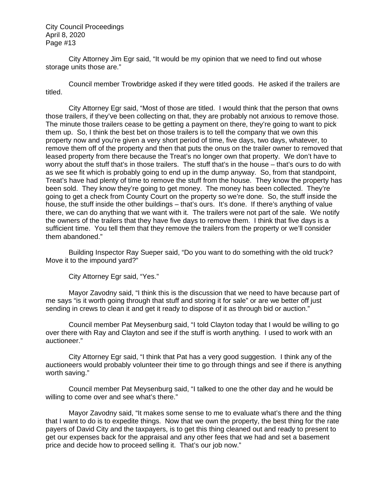City Attorney Jim Egr said, "It would be my opinion that we need to find out whose storage units those are."

Council member Trowbridge asked if they were titled goods. He asked if the trailers are titled.

City Attorney Egr said, "Most of those are titled. I would think that the person that owns those trailers, if they've been collecting on that, they are probably not anxious to remove those. The minute those trailers cease to be getting a payment on there, they're going to want to pick them up. So, I think the best bet on those trailers is to tell the company that we own this property now and you're given a very short period of time, five days, two days, whatever, to remove them off of the property and then that puts the onus on the trailer owner to removed that leased property from there because the Treat's no longer own that property. We don't have to worry about the stuff that's in those trailers. The stuff that's in the house – that's ours to do with as we see fit which is probably going to end up in the dump anyway. So, from that standpoint, Treat's have had plenty of time to remove the stuff from the house. They know the property has been sold. They know they're going to get money. The money has been collected. They're going to get a check from County Court on the property so we're done. So, the stuff inside the house, the stuff inside the other buildings – that's ours. It's done. If there's anything of value there, we can do anything that we want with it. The trailers were not part of the sale. We notify the owners of the trailers that they have five days to remove them. I think that five days is a sufficient time. You tell them that they remove the trailers from the property or we'll consider them abandoned."

Building Inspector Ray Sueper said, "Do you want to do something with the old truck? Move it to the impound yard?"

City Attorney Egr said, "Yes."

Mayor Zavodny said, "I think this is the discussion that we need to have because part of me says "is it worth going through that stuff and storing it for sale" or are we better off just sending in crews to clean it and get it ready to dispose of it as through bid or auction."

Council member Pat Meysenburg said, "I told Clayton today that I would be willing to go over there with Ray and Clayton and see if the stuff is worth anything. I used to work with an auctioneer."

City Attorney Egr said, "I think that Pat has a very good suggestion. I think any of the auctioneers would probably volunteer their time to go through things and see if there is anything worth saving."

Council member Pat Meysenburg said, "I talked to one the other day and he would be willing to come over and see what's there."

Mayor Zavodny said, "It makes some sense to me to evaluate what's there and the thing that I want to do is to expedite things. Now that we own the property, the best thing for the rate payers of David City and the taxpayers, is to get this thing cleaned out and ready to present to get our expenses back for the appraisal and any other fees that we had and set a basement price and decide how to proceed selling it. That's our job now."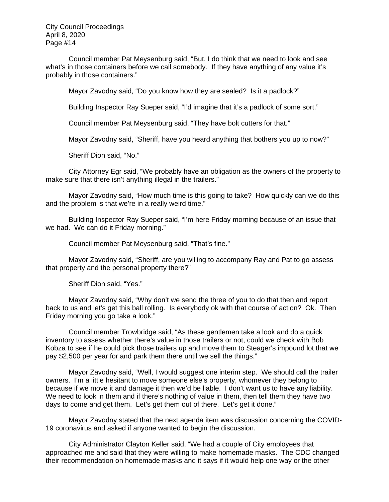Council member Pat Meysenburg said, "But, I do think that we need to look and see what's in those containers before we call somebody. If they have anything of any value it's probably in those containers."

Mayor Zavodny said, "Do you know how they are sealed? Is it a padlock?"

Building Inspector Ray Sueper said, "I'd imagine that it's a padlock of some sort."

Council member Pat Meysenburg said, "They have bolt cutters for that."

Mayor Zavodny said, "Sheriff, have you heard anything that bothers you up to now?"

Sheriff Dion said, "No."

City Attorney Egr said, "We probably have an obligation as the owners of the property to make sure that there isn't anything illegal in the trailers."

Mayor Zavodny said, "How much time is this going to take? How quickly can we do this and the problem is that we're in a really weird time."

Building Inspector Ray Sueper said, "I'm here Friday morning because of an issue that we had. We can do it Friday morning."

Council member Pat Meysenburg said, "That's fine."

Mayor Zavodny said, "Sheriff, are you willing to accompany Ray and Pat to go assess that property and the personal property there?"

Sheriff Dion said, "Yes."

Mayor Zavodny said, "Why don't we send the three of you to do that then and report back to us and let's get this ball rolling. Is everybody ok with that course of action? Ok. Then Friday morning you go take a look."

Council member Trowbridge said, "As these gentlemen take a look and do a quick inventory to assess whether there's value in those trailers or not, could we check with Bob Kobza to see if he could pick those trailers up and move them to Steager's impound lot that we pay \$2,500 per year for and park them there until we sell the things."

Mayor Zavodny said, "Well, I would suggest one interim step. We should call the trailer owners. I'm a little hesitant to move someone else's property, whomever they belong to because if we move it and damage it then we'd be liable. I don't want us to have any liability. We need to look in them and if there's nothing of value in them, then tell them they have two days to come and get them. Let's get them out of there. Let's get it done."

Mayor Zavodny stated that the next agenda item was discussion concerning the COVID-19 coronavirus and asked if anyone wanted to begin the discussion.

City Administrator Clayton Keller said, "We had a couple of City employees that approached me and said that they were willing to make homemade masks. The CDC changed their recommendation on homemade masks and it says if it would help one way or the other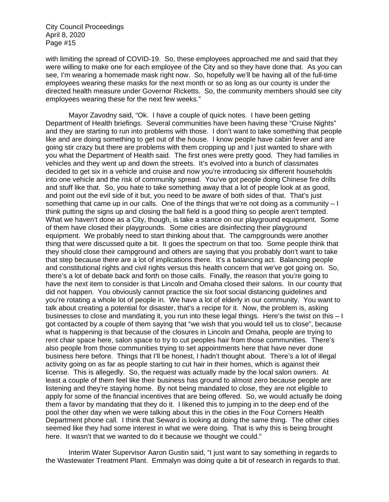with limiting the spread of COVID-19. So, these employees approached me and said that they were willing to make one for each employee of the City and so they have done that. As you can see, I'm wearing a homemade mask right now. So, hopefully we'll be having all of the full-time employees wearing these masks for the next month or so as long as our county is under the directed health measure under Governor Ricketts. So, the community members should see city employees wearing these for the next few weeks."

Mayor Zavodny said, "Ok. I have a couple of quick notes. I have been getting Department of Health briefings. Several communities have been having these "Cruise Nights" and they are starting to run into problems with those. I don't want to take something that people like and are doing something to get out of the house. I know people have cabin fever and are going stir crazy but there are problems with them cropping up and I just wanted to share with you what the Department of Health said. The first ones were pretty good. They had families in vehicles and they went up and down the streets. It's evolved into a bunch of classmates decided to get six in a vehicle and cruise and now you're introducing six different households into one vehicle and the risk of community spread. You've got people doing Chinese fire drills and stuff like that. So, you hate to take something away that a lot of people look at as good, and point out the evil side of it but, you need to be aware of both sides of that. That's just something that came up in our calls. One of the things that we're not doing as a community – I think putting the signs up and closing the ball field is a good thing so people aren't tempted. What we haven't done as a City, though, is take a stance on our playground equipment. Some of them have closed their playgrounds. Some cities are disinfecting their playground equipment. We probably need to start thinking about that. The campgrounds were another thing that were discussed quite a bit. It goes the spectrum on that too. Some people think that they should close their campground and others are saying that you probably don't want to take that step because there are a lot of implications there. It's a balancing act. Balancing people and constitutional rights and civil rights versus this health concern that we've got going on. So, there's a lot of debate back and forth on those calls. Finally, the reason that you're going to have the next item to consider is that Lincoln and Omaha closed their salons. In our county that did not happen. You obviously cannot practice the six foot social distancing guidelines and you're rotating a whole lot of people in. We have a lot of elderly in our community. You want to talk about creating a potential for disaster, that's a recipe for it. Now, the problem is, asking businesses to close and mandating it, you run into these legal things. Here's the twist on this – I got contacted by a couple of them saying that "we wish that you would tell us to close", because what is happening is that because of the closures in Lincoln and Omaha, people are trying to rent chair space here, salon space to try to cut peoples hair from those communities. There's also people from those communities trying to set appointments here that have never done business here before. Things that I'll be honest, I hadn't thought about. There's a lot of illegal activity going on as far as people starting to cut hair in their homes, which is against their license. This is allegedly. So, the request was actually made by the local salon owners. At least a couple of them feel like their business has ground to almost zero because people are listening and they're staying home. By not being mandated to close, they are not eligible to apply for some of the financial incentives that are being offered. So, we would actually be doing them a favor by mandating that they do it. I likened this to jumping in to the deep end of the pool the other day when we were talking about this in the cities in the Four Corners Health Department phone call. I think that Seward is looking at doing the same thing. The other cities seemed like they had some interest in what we were doing. That is why this is being brought here. It wasn't that we wanted to do it because we thought we could."

Interim Water Supervisor Aaron Gustin said, "I just want to say something in regards to the Wastewater Treatment Plant. Emmalyn was doing quite a bit of research in regards to that.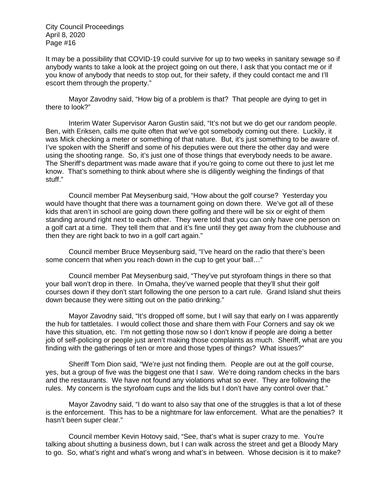It may be a possibility that COVID-19 could survive for up to two weeks in sanitary sewage so if anybody wants to take a look at the project going on out there, I ask that you contact me or if you know of anybody that needs to stop out, for their safety, if they could contact me and I'll escort them through the property."

Mayor Zavodny said, "How big of a problem is that? That people are dying to get in there to look?"

Interim Water Supervisor Aaron Gustin said, "It's not but we do get our random people. Ben, with Eriksen, calls me quite often that we've got somebody coming out there. Luckily, it was Mick checking a meter or something of that nature. But, it's just something to be aware of. I've spoken with the Sheriff and some of his deputies were out there the other day and were using the shooting range. So, it's just one of those things that everybody needs to be aware. The Sheriff's department was made aware that if you're going to come out there to just let me know. That's something to think about where she is diligently weighing the findings of that stuff."

Council member Pat Meysenburg said, "How about the golf course? Yesterday you would have thought that there was a tournament going on down there. We've got all of these kids that aren't in school are going down there golfing and there will be six or eight of them standing around right next to each other. They were told that you can only have one person on a golf cart at a time. They tell them that and it's fine until they get away from the clubhouse and then they are right back to two in a golf cart again."

Council member Bruce Meysenburg said, "I've heard on the radio that there's been some concern that when you reach down in the cup to get your ball…"

Council member Pat Meysenburg said, "They've put styrofoam things in there so that your ball won't drop in there. In Omaha, they've warned people that they'll shut their golf courses down if they don't start following the one person to a cart rule. Grand Island shut theirs down because they were sitting out on the patio drinking."

Mayor Zavodny said, "It's dropped off some, but I will say that early on I was apparently the hub for tattletales. I would collect those and share them with Four Corners and say ok we have this situation, etc. I'm not getting those now so I don't know if people are doing a better job of self-policing or people just aren't making those complaints as much. Sheriff, what are you finding with the gatherings of ten or more and those types of things? What issues?"

Sheriff Tom Dion said, "We're just not finding them. People are out at the golf course, yes, but a group of five was the biggest one that I saw. We're doing random checks in the bars and the restaurants. We have not found any violations what so ever. They are following the rules. My concern is the styrofoam cups and the lids but I don't have any control over that."

Mayor Zavodny said, "I do want to also say that one of the struggles is that a lot of these is the enforcement. This has to be a nightmare for law enforcement. What are the penalties? It hasn't been super clear."

Council member Kevin Hotovy said, "See, that's what is super crazy to me. You're talking about shutting a business down, but I can walk across the street and get a Bloody Mary to go. So, what's right and what's wrong and what's in between. Whose decision is it to make?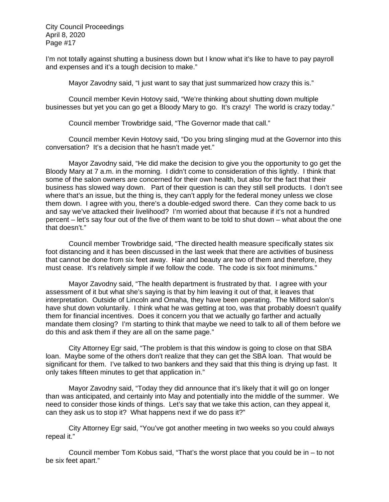I'm not totally against shutting a business down but I know what it's like to have to pay payroll and expenses and it's a tough decision to make."

Mayor Zavodny said, "I just want to say that just summarized how crazy this is."

Council member Kevin Hotovy said, "We're thinking about shutting down multiple businesses but yet you can go get a Bloody Mary to go. It's crazy! The world is crazy today."

Council member Trowbridge said, "The Governor made that call."

Council member Kevin Hotovy said, "Do you bring slinging mud at the Governor into this conversation? It's a decision that he hasn't made yet."

Mayor Zavodny said, "He did make the decision to give you the opportunity to go get the Bloody Mary at 7 a.m. in the morning. I didn't come to consideration of this lightly. I think that some of the salon owners are concerned for their own health, but also for the fact that their business has slowed way down. Part of their question is can they still sell products. I don't see where that's an issue, but the thing is, they can't apply for the federal money unless we close them down. I agree with you, there's a double-edged sword there. Can they come back to us and say we've attacked their livelihood? I'm worried about that because if it's not a hundred percent – let's say four out of the five of them want to be told to shut down – what about the one that doesn't."

Council member Trowbridge said, "The directed health measure specifically states six foot distancing and it has been discussed in the last week that there are activities of business that cannot be done from six feet away. Hair and beauty are two of them and therefore, they must cease. It's relatively simple if we follow the code. The code is six foot minimums."

Mayor Zavodny said, "The health department is frustrated by that. I agree with your assessment of it but what she's saying is that by him leaving it out of that, it leaves that interpretation. Outside of Lincoln and Omaha, they have been operating. The Milford salon's have shut down voluntarily. I think what he was getting at too, was that probably doesn't qualify them for financial incentives. Does it concern you that we actually go farther and actually mandate them closing? I'm starting to think that maybe we need to talk to all of them before we do this and ask them if they are all on the same page."

City Attorney Egr said, "The problem is that this window is going to close on that SBA loan. Maybe some of the others don't realize that they can get the SBA loan. That would be significant for them. I've talked to two bankers and they said that this thing is drying up fast. It only takes fifteen minutes to get that application in."

Mayor Zavodny said, "Today they did announce that it's likely that it will go on longer than was anticipated, and certainly into May and potentially into the middle of the summer. We need to consider those kinds of things. Let's say that we take this action, can they appeal it, can they ask us to stop it? What happens next if we do pass it?"

City Attorney Egr said, "You've got another meeting in two weeks so you could always repeal it."

Council member Tom Kobus said, "That's the worst place that you could be in – to not be six feet apart."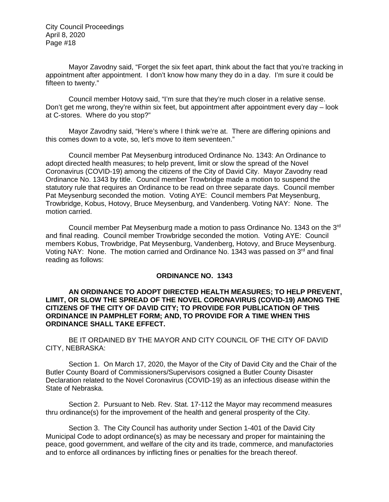Mayor Zavodny said, "Forget the six feet apart, think about the fact that you're tracking in appointment after appointment. I don't know how many they do in a day. I'm sure it could be fifteen to twenty."

Council member Hotovy said, "I'm sure that they're much closer in a relative sense. Don't get me wrong, they're within six feet, but appointment after appointment every day – look at C-stores. Where do you stop?"

Mayor Zavodny said, "Here's where I think we're at. There are differing opinions and this comes down to a vote, so, let's move to item seventeen."

Council member Pat Meysenburg introduced Ordinance No. 1343: An Ordinance to adopt directed health measures; to help prevent, limit or slow the spread of the Novel Coronavirus (COVID-19) among the citizens of the City of David City. Mayor Zavodny read Ordinance No. 1343 by title. Council member Trowbridge made a motion to suspend the statutory rule that requires an Ordinance to be read on three separate days. Council member Pat Meysenburg seconded the motion. Voting AYE: Council members Pat Meysenburg, Trowbridge, Kobus, Hotovy, Bruce Meysenburg, and Vandenberg. Voting NAY: None. The motion carried.

Council member Pat Meysenburg made a motion to pass Ordinance No. 1343 on the 3rd and final reading. Council member Trowbridge seconded the motion. Voting AYE: Council members Kobus, Trowbridge, Pat Meysenburg, Vandenberg, Hotovy, and Bruce Meysenburg. Voting NAY: None. The motion carried and Ordinance No. 1343 was passed on  $3<sup>rd</sup>$  and final reading as follows:

### **ORDINANCE NO. 1343**

### **AN ORDINANCE TO ADOPT DIRECTED HEALTH MEASURES; TO HELP PREVENT, LIMIT, OR SLOW THE SPREAD OF THE NOVEL CORONAVIRUS (COVID-19) AMONG THE CITIZENS OF THE CITY OF DAVID CITY; TO PROVIDE FOR PUBLICATION OF THIS ORDINANCE IN PAMPHLET FORM; AND, TO PROVIDE FOR A TIME WHEN THIS ORDINANCE SHALL TAKE EFFECT.**

BE IT ORDAINED BY THE MAYOR AND CITY COUNCIL OF THE CITY OF DAVID CITY, NEBRASKA:

Section 1. On March 17, 2020, the Mayor of the City of David City and the Chair of the Butler County Board of Commissioners/Supervisors cosigned a Butler County Disaster Declaration related to the Novel Coronavirus (COVID-19) as an infectious disease within the State of Nebraska.

Section 2. Pursuant to Neb. Rev. Stat. 17-112 the Mayor may recommend measures thru ordinance(s) for the improvement of the health and general prosperity of the City.

Section 3. The City Council has authority under Section 1-401 of the David City Municipal Code to adopt ordinance(s) as may be necessary and proper for maintaining the peace, good government, and welfare of the city and its trade, commerce, and manufactories and to enforce all ordinances by inflicting fines or penalties for the breach thereof.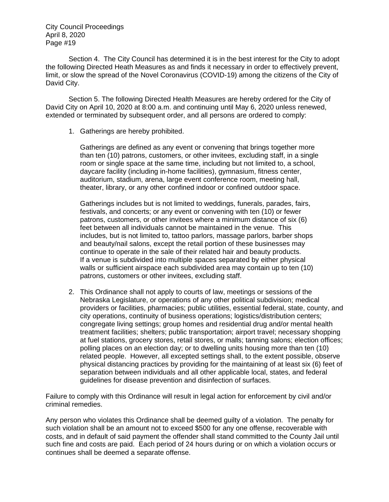Section 4. The City Council has determined it is in the best interest for the City to adopt the following Directed Heath Measures as and finds it necessary in order to effectively prevent, limit, or slow the spread of the Novel Coronavirus (COVID-19) among the citizens of the City of David City.

Section 5. The following Directed Health Measures are hereby ordered for the City of David City on April 10, 2020 at 8:00 a.m. and continuing until May 6, 2020 unless renewed, extended or terminated by subsequent order, and all persons are ordered to comply:

1. Gatherings are hereby prohibited.

Gatherings are defined as any event or convening that brings together more than ten (10) patrons, customers, or other invitees, excluding staff, in a single room or single space at the same time, including but not limited to, a school, daycare facility (including in-home facilities), gymnasium, fitness center, auditorium, stadium, arena, large event conference room, meeting hall, theater, library, or any other confined indoor or confined outdoor space.

Gatherings includes but is not limited to weddings, funerals, parades, fairs, festivals, and concerts; or any event or convening with ten (10) or fewer patrons, customers, or other invitees where a minimum distance of six (6) feet between all individuals cannot be maintained in the venue. This includes, but is not limited to, tattoo parlors, massage parlors, barber shops and beauty/nail salons, except the retail portion of these businesses may continue to operate in the sale of their related hair and beauty products. If a venue is subdivided into multiple spaces separated by either physical walls or sufficient airspace each subdivided area may contain up to ten (10) patrons, customers or other invitees, excluding staff.

2. This Ordinance shall not apply to courts of law, meetings or sessions of the Nebraska Legislature, or operations of any other political subdivision; medical providers or facilities, pharmacies; public utilities, essential federal, state, county, and city operations, continuity of business operations; logistics/distribution centers; congregate living settings; group homes and residential drug and/or mental health treatment facilities; shelters; public transportation; airport travel; necessary shopping at fuel stations, grocery stores, retail stores, or malls; tanning salons; election offices; polling places on an election day; or to dwelling units housing more than ten (10) related people. However, all excepted settings shall, to the extent possible, observe physical distancing practices by providing for the maintaining of at least six (6) feet of separation between individuals and all other applicable local, states, and federal guidelines for disease prevention and disinfection of surfaces.

Failure to comply with this Ordinance will result in legal action for enforcement by civil and/or criminal remedies.

Any person who violates this Ordinance shall be deemed guilty of a violation. The penalty for such violation shall be an amount not to exceed \$500 for any one offense, recoverable with costs, and in default of said payment the offender shall stand committed to the County Jail until such fine and costs are paid. Each period of 24 hours during or on which a violation occurs or continues shall be deemed a separate offense.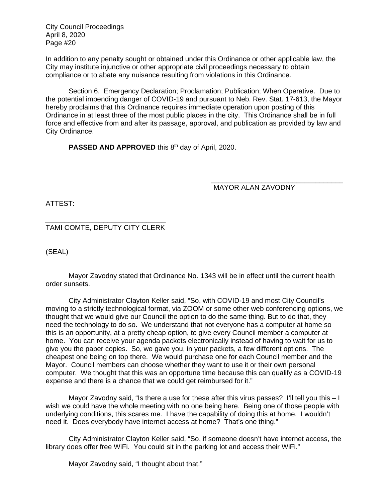In addition to any penalty sought or obtained under this Ordinance or other applicable law, the City may institute injunctive or other appropriate civil proceedings necessary to obtain compliance or to abate any nuisance resulting from violations in this Ordinance.

 Section 6. Emergency Declaration; Proclamation; Publication; When Operative. Due to the potential impending danger of COVID-19 and pursuant to Neb. Rev. Stat. 17-613, the Mayor hereby proclaims that this Ordinance requires immediate operation upon posting of this Ordinance in at least three of the most public places in the city. This Ordinance shall be in full force and effective from and after its passage, approval, and publication as provided by law and City Ordinance.

**PASSED AND APPROVED** this 8<sup>th</sup> day of April, 2020.

MAYOR ALAN ZAVODNY

\_\_\_\_\_\_\_\_\_\_\_\_\_\_\_\_\_\_\_\_\_\_\_\_\_\_\_\_\_\_\_\_\_\_

ATTEST:

*\_\_\_\_\_\_\_\_\_\_\_\_\_\_\_\_\_\_\_\_\_\_\_\_\_\_\_\_\_\_\_*  TAMI COMTE, DEPUTY CITY CLERK

(SEAL)

Mayor Zavodny stated that Ordinance No. 1343 will be in effect until the current health order sunsets.

City Administrator Clayton Keller said, "So, with COVID-19 and most City Council's moving to a strictly technological format, via ZOOM or some other web conferencing options, we thought that we would give our Council the option to do the same thing. But to do that, they need the technology to do so. We understand that not everyone has a computer at home so this is an opportunity, at a pretty cheap option, to give every Council member a computer at home. You can receive your agenda packets electronically instead of having to wait for us to give you the paper copies. So, we gave you, in your packets, a few different options. The cheapest one being on top there. We would purchase one for each Council member and the Mayor. Council members can choose whether they want to use it or their own personal computer. We thought that this was an opportune time because this can qualify as a COVID-19 expense and there is a chance that we could get reimbursed for it."

Mayor Zavodny said, "Is there a use for these after this virus passes? I'll tell you this – I wish we could have the whole meeting with no one being here. Being one of those people with underlying conditions, this scares me. I have the capability of doing this at home. I wouldn't need it. Does everybody have internet access at home? That's one thing."

City Administrator Clayton Keller said, "So, if someone doesn't have internet access, the library does offer free WiFi. You could sit in the parking lot and access their WiFi."

Mayor Zavodny said, "I thought about that."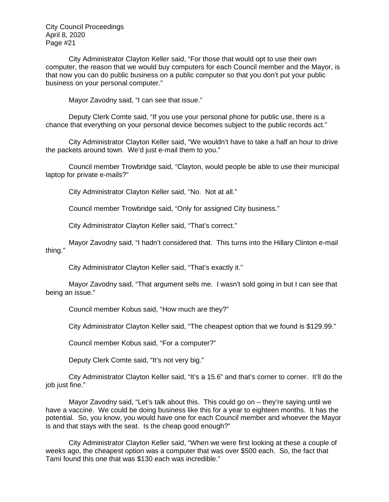City Administrator Clayton Keller said, "For those that would opt to use their own computer, the reason that we would buy computers for each Council member and the Mayor, is that now you can do public business on a public computer so that you don't put your public business on your personal computer."

Mayor Zavodny said, "I can see that issue."

Deputy Clerk Comte said, "If you use your personal phone for public use, there is a chance that everything on your personal device becomes subject to the public records act."

City Administrator Clayton Keller said, "We wouldn't have to take a half an hour to drive the packets around town. We'd just e-mail them to you."

Council member Trowbridge said, "Clayton, would people be able to use their municipal laptop for private e-mails?"

City Administrator Clayton Keller said, "No. Not at all."

Council member Trowbridge said, "Only for assigned City business."

City Administrator Clayton Keller said, "That's correct."

Mayor Zavodny said, "I hadn't considered that. This turns into the Hillary Clinton e-mail thing."

City Administrator Clayton Keller said, "That's exactly it."

Mayor Zavodny said, "That argument sells me. I wasn't sold going in but I can see that being an issue."

Council member Kobus said, "How much are they?"

City Administrator Clayton Keller said, "The cheapest option that we found is \$129.99."

Council member Kobus said, "For a computer?"

Deputy Clerk Comte said, "It's not very big."

City Administrator Clayton Keller said, "It's a 15.6" and that's corner to corner. It'll do the job just fine."

Mayor Zavodny said, "Let's talk about this. This could go on – they're saying until we have a vaccine. We could be doing business like this for a year to eighteen months. It has the potential. So, you know, you would have one for each Council member and whoever the Mayor is and that stays with the seat. Is the cheap good enough?"

City Administrator Clayton Keller said, "When we were first looking at these a couple of weeks ago, the cheapest option was a computer that was over \$500 each. So, the fact that Tami found this one that was \$130 each was incredible."